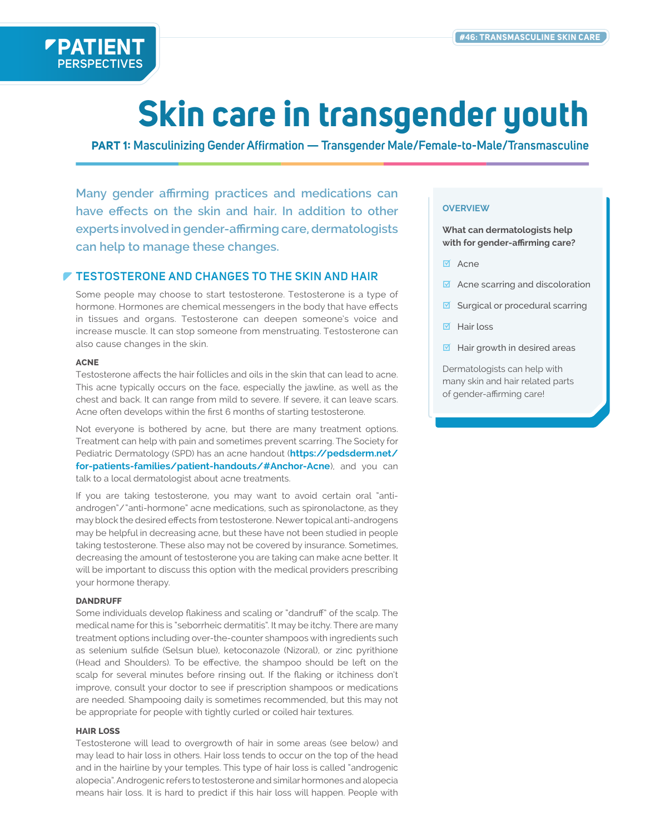

# **Skin care in transgender youth**

**PART 1: Masculinizing Gender Affirmation — Transgender Male/Female-to-Male/Transmasculine**

**Many gender affirming practices and medications can have effects on the skin and hair. In addition to other experts involved in gender-affirming care, dermatologists can help to manage these changes.**

## **TESTOSTERONE AND CHANGES TO THE SKIN AND HAIR**

Some people may choose to start testosterone. Testosterone is a type of hormone. Hormones are chemical messengers in the body that have effects in tissues and organs. Testosterone can deepen someone's voice and increase muscle. It can stop someone from menstruating. Testosterone can also cause changes in the skin.

#### **ACNE**

Testosterone affects the hair follicles and oils in the skin that can lead to acne. This acne typically occurs on the face, especially the jawline, as well as the chest and back. It can range from mild to severe. If severe, it can leave scars. Acne often develops within the first 6 months of starting testosterone.

Not everyone is bothered by acne, but there are many treatment options. Treatment can help with pain and sometimes prevent scarring. The Society for Pediatric Dermatology (SPD) has an acne handout (**https://pedsderm.net/ [for-patients-families/patient-handouts/#Anchor-Acne](https://pedsderm.net/for-patients-families/patient-handouts/#Anchor-Acne)**), and you can talk to a local dermatologist about acne treatments.

If you are taking testosterone, you may want to avoid certain oral "antiandrogen"/"anti-hormone" acne medications, such as spironolactone, as they may block the desired effects from testosterone. Newer topical anti-androgens may be helpful in decreasing acne, but these have not been studied in people taking testosterone. These also may not be covered by insurance. Sometimes, decreasing the amount of testosterone you are taking can make acne better. It will be important to discuss this option with the medical providers prescribing your hormone therapy.

#### **DANDRUFF**

Some individuals develop flakiness and scaling or "dandruff" of the scalp. The medical name for this is "seborrheic dermatitis". It may be itchy. There are many treatment options including over-the-counter shampoos with ingredients such as selenium sulfide (Selsun blue), ketoconazole (Nizoral), or zinc pyrithione (Head and Shoulders). To be effective, the shampoo should be left on the scalp for several minutes before rinsing out. If the flaking or itchiness don't improve, consult your doctor to see if prescription shampoos or medications are needed. Shampooing daily is sometimes recommended, but this may not be appropriate for people with tightly curled or coiled hair textures.

#### **HAIR LOSS**

Testosterone will lead to overgrowth of hair in some areas (see below) and may lead to hair loss in others. Hair loss tends to occur on the top of the head and in the hairline by your temples. This type of hair loss is called "androgenic alopecia". Androgenic refers to testosterone and similar hormones and alopecia means hair loss. It is hard to predict if this hair loss will happen. People with

#### **OVERVIEW**

**What can dermatologists help with for gender-affirming care?**

- **Ø** Acne
- $\blacksquare$  Acne scarring and discoloration
- $\blacksquare$  Surgical or procedural scarring
- Hair loss
- $\overline{\mathbf{M}}$  Hair growth in desired areas

Dermatologists can help with many skin and hair related parts of gender-affirming care!